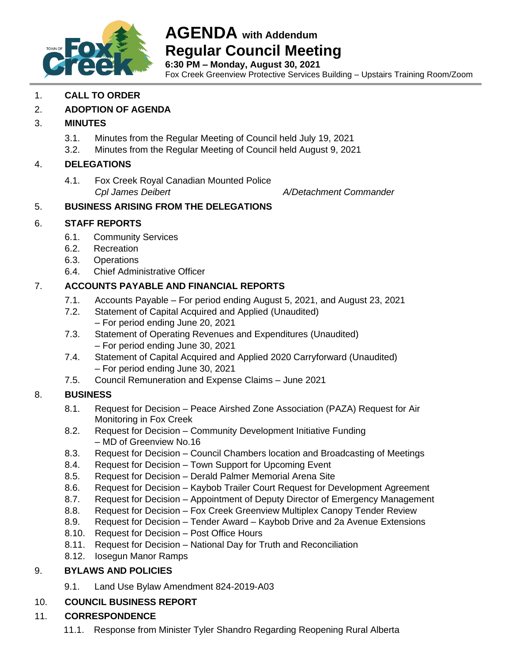

# **AGENDA with Addendum Regular Council Meeting**

**6:30 PM – Monday, August 30, 2021** Fox Creek Greenview Protective Services Building – Upstairs Training Room/Zoom

## 1. **CALL TO ORDER**

#### 2. **ADOPTION OF AGENDA**

#### 3. **MINUTES**

- 3.1. Minutes from the Regular Meeting of Council held July 19, 2021
- 3.2. Minutes from the Regular Meeting of Council held August 9, 2021

## 4. **DELEGATIONS**

4.1. Fox Creek Royal Canadian Mounted Police *Cpl James Deibert A/Detachment Commander*

## 5. **BUSINESS ARISING FROM THE DELEGATIONS**

## 6. **STAFF REPORTS**

- 6.1. Community Services
- 6.2. Recreation
- 6.3. Operations
- 6.4. Chief Administrative Officer

## 7. **ACCOUNTS PAYABLE AND FINANCIAL REPORTS**

- 7.1. Accounts Payable For period ending August 5, 2021, and August 23, 2021
- 7.2. Statement of Capital Acquired and Applied (Unaudited) – For period ending June 20, 2021
- 7.3. Statement of Operating Revenues and Expenditures (Unaudited) – For period ending June 30, 2021
- 7.4. Statement of Capital Acquired and Applied 2020 Carryforward (Unaudited) – For period ending June 30, 2021
- 7.5. Council Remuneration and Expense Claims June 2021

## 8. **BUSINESS**

- 8.1. Request for Decision Peace Airshed Zone Association (PAZA) Request for Air Monitoring in Fox Creek
- 8.2. Request for Decision Community Development Initiative Funding – MD of Greenview No.16
- 8.3. Request for Decision Council Chambers location and Broadcasting of Meetings
- 8.4. Request for Decision Town Support for Upcoming Event
- 8.5. Request for Decision Derald Palmer Memorial Arena Site
- 8.6. Request for Decision Kaybob Trailer Court Request for Development Agreement
- 8.7. Request for Decision Appointment of Deputy Director of Emergency Management
- 8.8. Request for Decision Fox Creek Greenview Multiplex Canopy Tender Review
- 8.9. Request for Decision Tender Award Kaybob Drive and 2a Avenue Extensions
- 8.10. Request for Decision Post Office Hours
- 8.11. Request for Decision National Day for Truth and Reconciliation
- 8.12. Iosegun Manor Ramps

## 9. **BYLAWS AND POLICIES**

9.1. Land Use Bylaw Amendment 824-2019-A03

## 10. **COUNCIL BUSINESS REPORT**

## 11. **CORRESPONDENCE**

11.1. Response from Minister Tyler Shandro Regarding Reopening Rural Alberta